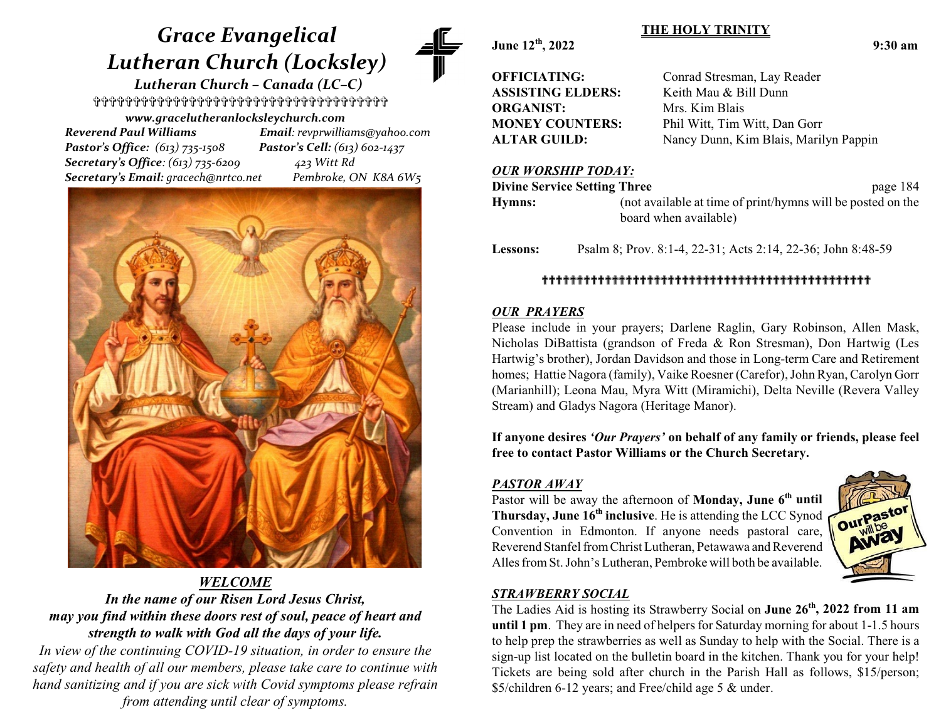# *Grace Evangelical Lutheran Church (Locksley)*

 *Lutheran Church – Canada (LC–C)* \_\_\_\_\_\_\_\_\_\_\_\_\_\_\_\_\_\_\_\_\_\_\_\_\_\_\_\_\_\_\_\_\_\_\_\_\_ *www.gracelutheranlocksleychurch.com*

 *Reverend Paul Williams Email: revprwilliams@yahoo.com Pastor's Office: (613) 735-1508 Pastor's Cell: (613) 602-1437 Secretary's Office: (613) 735-6209 423 Witt Rd Secretary's Email: gracech@nrtco.net Pembroke, ON K8A 6W5*



# *WELCOME In the name of our Risen Lord Jesus Christ, may you find within these doors rest of soul, peace of heart and strength to walk with God all the days of your life.*

*In view of the continuing COVID-19 situation, in order to ensure the safety and health of all our members, please take care to continue with hand sanitizing and if you are sick with Covid symptoms please refrain from attending until clear of symptoms.*

**June 12th**

| OFFICIATING:             |
|--------------------------|
| <b>ASSISTING ELDERS:</b> |
| <b>ORGANIST:</b>         |
| <b>MONEY COUNTERS:</b>   |
| <b>ALTAR GUILD:</b>      |

Conrad Stresman, Lay Reader Keith Mau & Bill Dunn **Mrs. Kim Blais** Phil Witt, Tim Witt, Dan Gorr Nancy Dunn, Kim Blais, Marilyn Pappin

#### *OUR WORSHIP TODAY:*

| <b>Divine Service Setting Three</b> |                                                                                      | page 184 |
|-------------------------------------|--------------------------------------------------------------------------------------|----------|
| Hymns:                              | (not available at time of print/hymns will be posted on the<br>board when available) |          |
|                                     |                                                                                      |          |

**THE HOLY TRINITY**

**Lessons:** Psalm 8; Prov. 8:1-4, 22-31; Acts 2:14, 22-36; John 8:48-59

## ```````````````````````````````````````````````

#### *OUR PRAYERS*

Please include in your prayers; Darlene Raglin, Gary Robinson, Allen Mask, Nicholas DiBattista (grandson of Freda & Ron Stresman), Don Hartwig (Les Hartwig's brother), Jordan Davidson and those in Long-term Care and Retirement homes; Hattie Nagora (family), Vaike Roesner (Carefor), John Ryan, Carolyn Gorr (Marianhill); Leona Mau, Myra Witt (Miramichi), Delta Neville (Revera Valley Stream) and Gladys Nagora (Heritage Manor).

**If anyone desires** *'Our Prayers'* **on behalf of any family or friends, please feel free to contact Pastor Williams or the Church Secretary.**

## *PASTOR AWAY*

Pastor will be away the afternoon of **Monday, June 6<sup>th</sup> until Thursday, June 16th inclusive**. He is attending the LCC Synod Convention in Edmonton. If anyone needs pastoral care, Reverend Stanfel from Christ Lutheran, Petawawa and Reverend Alles fromSt. John's Lutheran, Pembroke will both be available.



# *STRAWBERRY SOCIAL*

The Ladies Aid is hosting its Strawberry Social on **June 26th , 2022 from 11 am until 1 pm**. They are in need of helpers for Saturday morning for about 1-1.5 hours to help prep the strawberries as well as Sunday to help with the Social. There is a sign-up list located on the bulletin board in the kitchen. Thank you for your help! Tickets are being sold after church in the Parish Hall as follows, \$15/person; \$5/children 6-12 years; and Free/child age 5 & under.